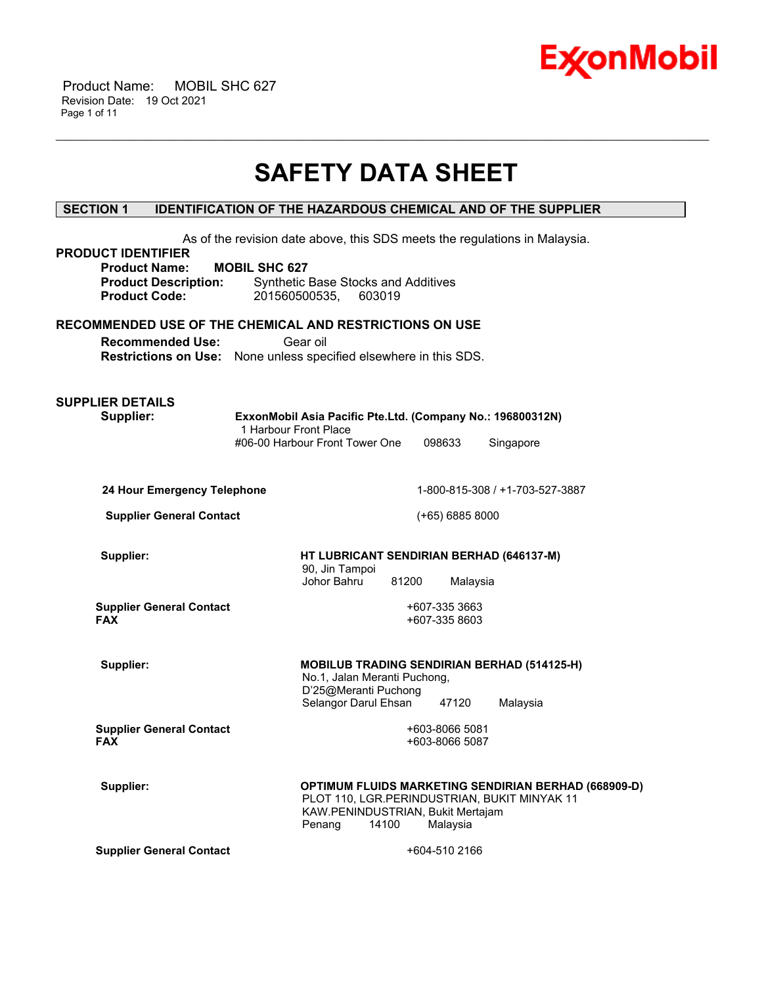

 Product Name: MOBIL SHC 627 Revision Date: 19 Oct 2021 Page 1 of 11

# **SAFETY DATA SHEET**

\_\_\_\_\_\_\_\_\_\_\_\_\_\_\_\_\_\_\_\_\_\_\_\_\_\_\_\_\_\_\_\_\_\_\_\_\_\_\_\_\_\_\_\_\_\_\_\_\_\_\_\_\_\_\_\_\_\_\_\_\_\_\_\_\_\_\_\_\_\_\_\_\_\_\_\_\_\_\_\_\_\_\_\_\_\_\_\_\_\_\_\_\_\_\_\_\_\_\_\_\_\_\_\_\_\_\_\_\_\_\_\_\_\_\_\_\_\_

# **SECTION 1 IDENTIFICATION OF THE HAZARDOUS CHEMICAL AND OF THE SUPPLIER**

| <b>PRODUCT IDENTIFIER</b>                                                                    |                      |                                                      |        |                                  |          | As of the revision date above, this SDS meets the regulations in Malaysia. |                                                      |
|----------------------------------------------------------------------------------------------|----------------------|------------------------------------------------------|--------|----------------------------------|----------|----------------------------------------------------------------------------|------------------------------------------------------|
| <b>Product Name:</b><br><b>Product Description:</b><br><b>Product Code:</b>                  | <b>MOBIL SHC 627</b> | Synthetic Base Stocks and Additives<br>201560500535, | 603019 |                                  |          |                                                                            |                                                      |
| RECOMMENDED USE OF THE CHEMICAL AND RESTRICTIONS ON USE                                      |                      |                                                      |        |                                  |          |                                                                            |                                                      |
| <b>Recommended Use:</b><br>Restrictions on Use: None unless specified elsewhere in this SDS. |                      | Gear oil                                             |        |                                  |          |                                                                            |                                                      |
| <b>SUPPLIER DETAILS</b><br>Supplier:                                                         |                      | 1 Harbour Front Place                                |        |                                  |          | ExxonMobil Asia Pacific Pte.Ltd. (Company No.: 196800312N)                 |                                                      |
|                                                                                              |                      | #06-00 Harbour Front Tower One                       |        | 098633                           |          | Singapore                                                                  |                                                      |
| 24 Hour Emergency Telephone                                                                  |                      |                                                      |        |                                  |          | 1-800-815-308 / +1-703-527-3887                                            |                                                      |
| <b>Supplier General Contact</b>                                                              |                      |                                                      |        | (+65) 6885 8000                  |          |                                                                            |                                                      |
| Supplier:                                                                                    |                      | 90, Jin Tampoi<br>Johor Bahru                        |        | 81200                            | Malaysia | HT LUBRICANT SENDIRIAN BERHAD (646137-M)                                   |                                                      |
| <b>Supplier General Contact</b><br><b>FAX</b>                                                |                      |                                                      |        | +607-335 3663<br>+607-335 8603   |          |                                                                            |                                                      |
| Supplier:                                                                                    |                      | No.1, Jalan Meranti Puchong,<br>D'25@Meranti Puchong |        |                                  |          | <b>MOBILUB TRADING SENDIRIAN BERHAD (514125-H)</b>                         |                                                      |
| <b>Supplier General Contact</b><br><b>FAX</b>                                                |                      | Selangor Darul Ehsan                                 |        | +603-8066 5081<br>+603-8066 5087 | 47120    | Malaysia                                                                   |                                                      |
| Supplier:                                                                                    |                      | KAW.PENINDUSTRIAN, Bukit Mertajam<br>Penang          | 14100  | Malaysia                         |          | PLOT 110, LGR.PERINDUSTRIAN, BUKIT MINYAK 11                               | OPTIMUM FLUIDS MARKETING SENDIRIAN BERHAD (668909-D) |
| <b>Supplier General Contact</b>                                                              |                      |                                                      |        | +604-510 2166                    |          |                                                                            |                                                      |
|                                                                                              |                      |                                                      |        |                                  |          |                                                                            |                                                      |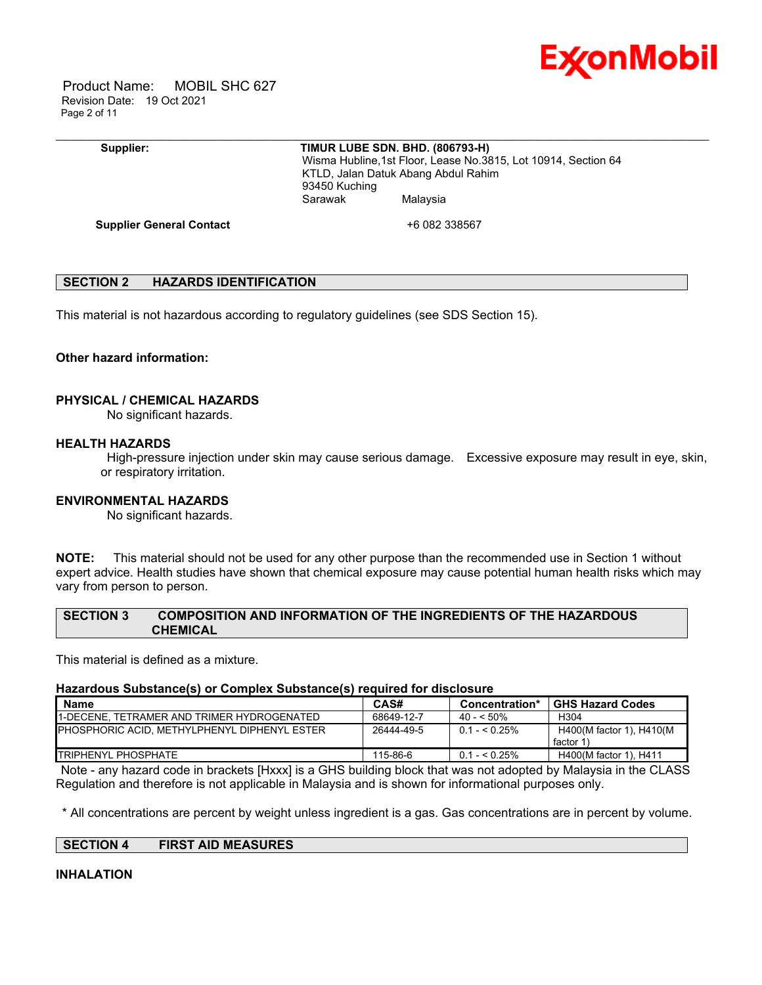

 Product Name: MOBIL SHC 627 Revision Date: 19 Oct 2021 Page 2 of 11

#### **Supplier: TIMUR LUBE SDN. BHD. (806793-H)**

\_\_\_\_\_\_\_\_\_\_\_\_\_\_\_\_\_\_\_\_\_\_\_\_\_\_\_\_\_\_\_\_\_\_\_\_\_\_\_\_\_\_\_\_\_\_\_\_\_\_\_\_\_\_\_\_\_\_\_\_\_\_\_\_\_\_\_\_\_\_\_\_\_\_\_\_\_\_\_\_\_\_\_\_\_\_\_\_\_\_\_\_\_\_\_\_\_\_\_\_\_\_\_\_\_\_\_\_\_\_\_\_\_\_\_\_\_\_

 Wisma Hubline,1st Floor, Lease No.3815, Lot 10914, Section 64 KTLD, Jalan Datuk Abang Abdul Rahim 93450 Kuching Sarawak Malaysia

**Supplier General Contact** +6 082 338567

# **SECTION 2 HAZARDS IDENTIFICATION**

This material is not hazardous according to regulatory guidelines (see SDS Section 15).

#### **Other hazard information:**

#### **PHYSICAL / CHEMICAL HAZARDS**

No significant hazards.

#### **HEALTH HAZARDS**

High-pressure injection under skin may cause serious damage. Excessive exposure may result in eye, skin, or respiratory irritation.

# **ENVIRONMENTAL HAZARDS**

No significant hazards.

**NOTE:** This material should not be used for any other purpose than the recommended use in Section 1 without expert advice. Health studies have shown that chemical exposure may cause potential human health risks which may vary from person to person.

# **SECTION 3 COMPOSITION AND INFORMATION OF THE INGREDIENTS OF THE HAZARDOUS CHEMICAL**

This material is defined as a mixture.

#### **Hazardous Substance(s) or Complex Substance(s) required for disclosure**

| <b>Name</b>                                          | CAS#       | Concentration* | <b>GHS Hazard Codes</b>              |
|------------------------------------------------------|------------|----------------|--------------------------------------|
| <b>I1-DECENE. TETRAMER AND TRIMER HYDROGENATED</b>   | 68649-12-7 | $40 - 50\%$    | H <sub>304</sub>                     |
| <b>IPHOSPHORIC ACID. METHYLPHENYL DIPHENYL ESTER</b> | 26444-49-5 | $0.1 - 5.25\%$ | H400(M factor 1), H410(M<br>factor 1 |
| <b>ITRIPHENYL PHOSPHATE</b>                          | 115-86-6   | $0.1 - 5.25\%$ | H400(M factor 1), H411               |

Note - any hazard code in brackets [Hxxx] is a GHS building block that was not adopted by Malaysia in the CLASS Regulation and therefore is not applicable in Malaysia and is shown for informational purposes only.

\* All concentrations are percent by weight unless ingredient is a gas. Gas concentrations are in percent by volume.

#### **SECTION 4 FIRST AID MEASURES**

#### **INHALATION**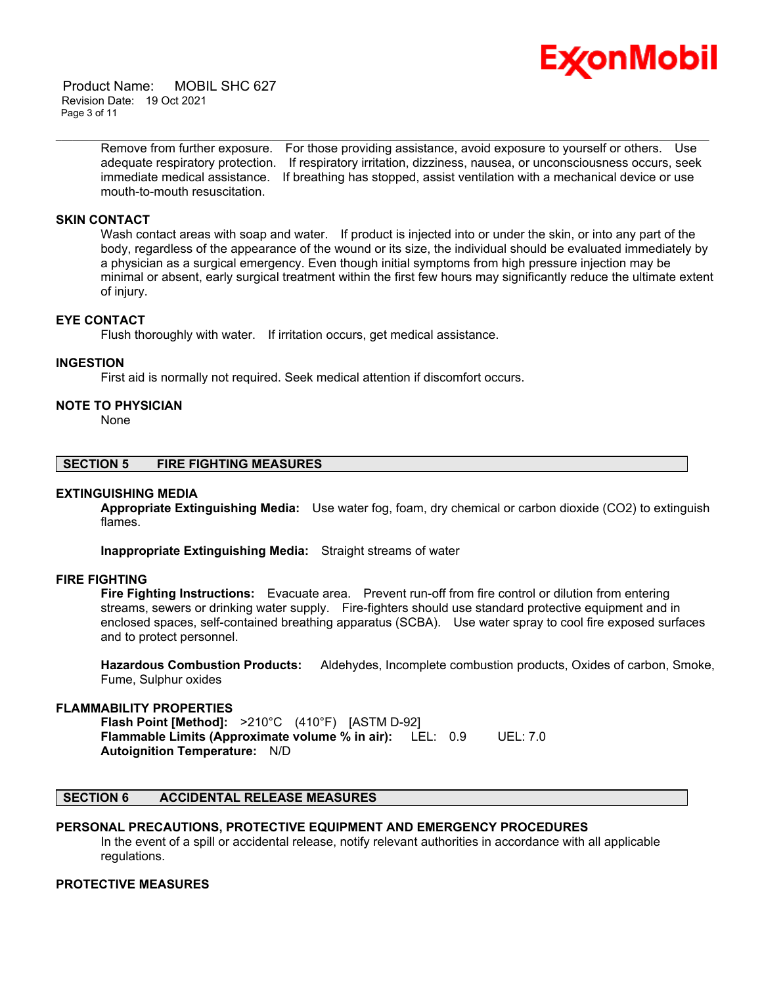

 Product Name: MOBIL SHC 627 Revision Date: 19 Oct 2021 Page 3 of 11

> Remove from further exposure. For those providing assistance, avoid exposure to yourself or others. Use adequate respiratory protection. If respiratory irritation, dizziness, nausea, or unconsciousness occurs, seek immediate medical assistance. If breathing has stopped, assist ventilation with a mechanical device or use mouth-to-mouth resuscitation.

\_\_\_\_\_\_\_\_\_\_\_\_\_\_\_\_\_\_\_\_\_\_\_\_\_\_\_\_\_\_\_\_\_\_\_\_\_\_\_\_\_\_\_\_\_\_\_\_\_\_\_\_\_\_\_\_\_\_\_\_\_\_\_\_\_\_\_\_\_\_\_\_\_\_\_\_\_\_\_\_\_\_\_\_\_\_\_\_\_\_\_\_\_\_\_\_\_\_\_\_\_\_\_\_\_\_\_\_\_\_\_\_\_\_\_\_\_\_

# **SKIN CONTACT**

Wash contact areas with soap and water. If product is injected into or under the skin, or into any part of the body, regardless of the appearance of the wound or its size, the individual should be evaluated immediately by a physician as a surgical emergency. Even though initial symptoms from high pressure injection may be minimal or absent, early surgical treatment within the first few hours may significantly reduce the ultimate extent of injury.

#### **EYE CONTACT**

Flush thoroughly with water. If irritation occurs, get medical assistance.

#### **INGESTION**

First aid is normally not required. Seek medical attention if discomfort occurs.

#### **NOTE TO PHYSICIAN**

None

#### **SECTION 5 FIRE FIGHTING MEASURES**

#### **EXTINGUISHING MEDIA**

**Appropriate Extinguishing Media:** Use water fog, foam, dry chemical or carbon dioxide (CO2) to extinguish flames.

**Inappropriate Extinguishing Media:** Straight streams of water

#### **FIRE FIGHTING**

**Fire Fighting Instructions:** Evacuate area. Prevent run-off from fire control or dilution from entering streams, sewers or drinking water supply. Fire-fighters should use standard protective equipment and in enclosed spaces, self-contained breathing apparatus (SCBA). Use water spray to cool fire exposed surfaces and to protect personnel.

**Hazardous Combustion Products:** Aldehydes, Incomplete combustion products, Oxides of carbon, Smoke, Fume, Sulphur oxides

#### **FLAMMABILITY PROPERTIES**

**Flash Point [Method]:** >210°C (410°F) [ASTM D-92] **Flammable Limits (Approximate volume % in air):** LEL: 0.9 UEL: 7.0 **Autoignition Temperature:** N/D

#### **SECTION 6 ACCIDENTAL RELEASE MEASURES**

# **PERSONAL PRECAUTIONS, PROTECTIVE EQUIPMENT AND EMERGENCY PROCEDURES**

In the event of a spill or accidental release, notify relevant authorities in accordance with all applicable regulations.

# **PROTECTIVE MEASURES**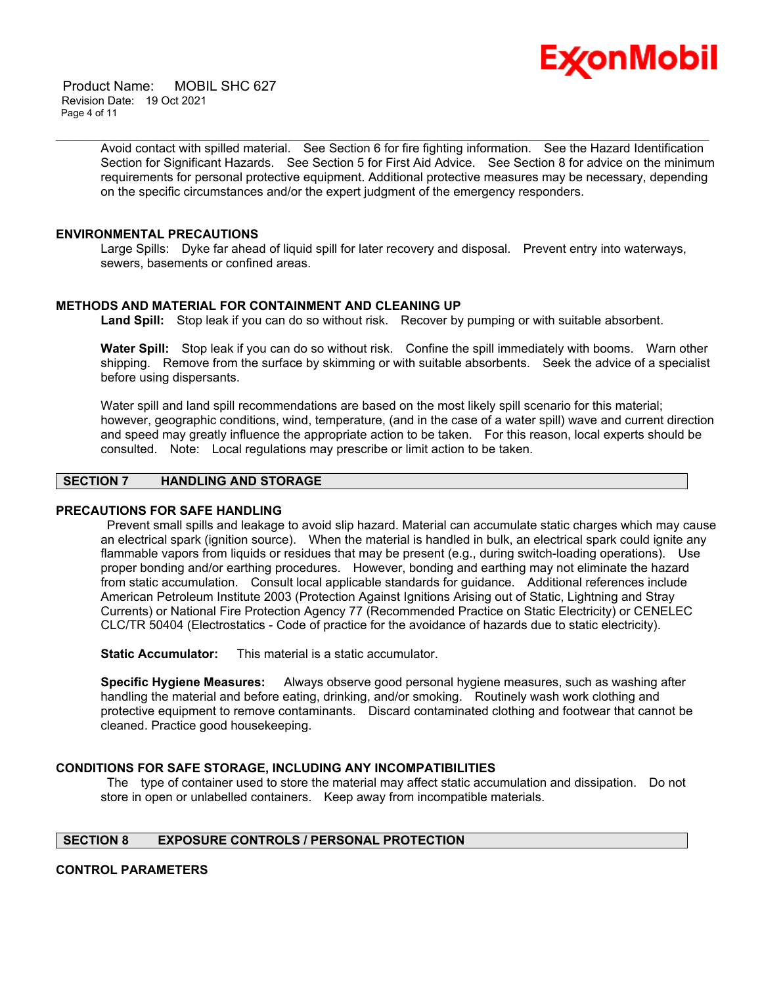

 Product Name: MOBIL SHC 627 Revision Date: 19 Oct 2021 Page 4 of 11

> Avoid contact with spilled material. See Section 6 for fire fighting information. See the Hazard Identification Section for Significant Hazards. See Section 5 for First Aid Advice. See Section 8 for advice on the minimum requirements for personal protective equipment. Additional protective measures may be necessary, depending on the specific circumstances and/or the expert judgment of the emergency responders.

\_\_\_\_\_\_\_\_\_\_\_\_\_\_\_\_\_\_\_\_\_\_\_\_\_\_\_\_\_\_\_\_\_\_\_\_\_\_\_\_\_\_\_\_\_\_\_\_\_\_\_\_\_\_\_\_\_\_\_\_\_\_\_\_\_\_\_\_\_\_\_\_\_\_\_\_\_\_\_\_\_\_\_\_\_\_\_\_\_\_\_\_\_\_\_\_\_\_\_\_\_\_\_\_\_\_\_\_\_\_\_\_\_\_\_\_\_\_

#### **ENVIRONMENTAL PRECAUTIONS**

Large Spills: Dyke far ahead of liquid spill for later recovery and disposal. Prevent entry into waterways, sewers, basements or confined areas.

#### **METHODS AND MATERIAL FOR CONTAINMENT AND CLEANING UP**

**Land Spill:** Stop leak if you can do so without risk. Recover by pumping or with suitable absorbent.

**Water Spill:** Stop leak if you can do so without risk. Confine the spill immediately with booms. Warn other shipping. Remove from the surface by skimming or with suitable absorbents. Seek the advice of a specialist before using dispersants.

Water spill and land spill recommendations are based on the most likely spill scenario for this material; however, geographic conditions, wind, temperature, (and in the case of a water spill) wave and current direction and speed may greatly influence the appropriate action to be taken. For this reason, local experts should be consulted. Note: Local regulations may prescribe or limit action to be taken.

# **SECTION 7 HANDLING AND STORAGE**

#### **PRECAUTIONS FOR SAFE HANDLING**

Prevent small spills and leakage to avoid slip hazard. Material can accumulate static charges which may cause an electrical spark (ignition source). When the material is handled in bulk, an electrical spark could ignite any flammable vapors from liquids or residues that may be present (e.g., during switch-loading operations). Use proper bonding and/or earthing procedures. However, bonding and earthing may not eliminate the hazard from static accumulation. Consult local applicable standards for guidance. Additional references include American Petroleum Institute 2003 (Protection Against Ignitions Arising out of Static, Lightning and Stray Currents) or National Fire Protection Agency 77 (Recommended Practice on Static Electricity) or CENELEC CLC/TR 50404 (Electrostatics - Code of practice for the avoidance of hazards due to static electricity).

**Static Accumulator:** This material is a static accumulator.

**Specific Hygiene Measures:** Always observe good personal hygiene measures, such as washing after handling the material and before eating, drinking, and/or smoking. Routinely wash work clothing and protective equipment to remove contaminants. Discard contaminated clothing and footwear that cannot be cleaned. Practice good housekeeping.

# **CONDITIONS FOR SAFE STORAGE, INCLUDING ANY INCOMPATIBILITIES**

The type of container used to store the material may affect static accumulation and dissipation. Do not store in open or unlabelled containers. Keep away from incompatible materials.

# **SECTION 8 EXPOSURE CONTROLS / PERSONAL PROTECTION**

#### **CONTROL PARAMETERS**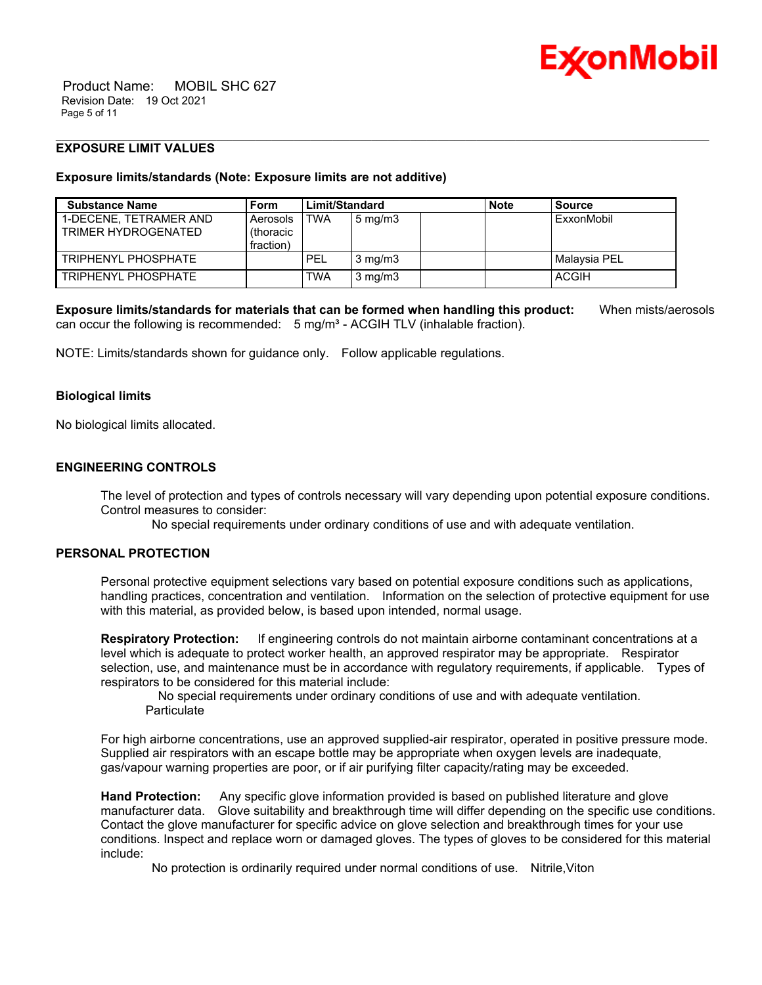

# **EXPOSURE LIMIT VALUES**

#### **Exposure limits/standards (Note: Exposure limits are not additive)**

| <b>Substance Name</b>                         | Form                                | Limit/Standard |                  | <b>Note</b> | <b>Source</b> |
|-----------------------------------------------|-------------------------------------|----------------|------------------|-------------|---------------|
| 1-DECENE. TETRAMER AND<br>TRIMER HYDROGENATED | Aerosols<br>(thoracic)<br>fraction) | TWA            | $5 \text{ mg/m}$ |             | ExxonMobil    |
| TRIPHENYL PHOSPHATE                           |                                     | <b>PEL</b>     | $3 \text{ mg/m}$ |             | Malaysia PEL  |
| TRIPHENYL PHOSPHATE                           |                                     | TWA            | $3 \text{ mg/m}$ |             | ACGIH         |

\_\_\_\_\_\_\_\_\_\_\_\_\_\_\_\_\_\_\_\_\_\_\_\_\_\_\_\_\_\_\_\_\_\_\_\_\_\_\_\_\_\_\_\_\_\_\_\_\_\_\_\_\_\_\_\_\_\_\_\_\_\_\_\_\_\_\_\_\_\_\_\_\_\_\_\_\_\_\_\_\_\_\_\_\_\_\_\_\_\_\_\_\_\_\_\_\_\_\_\_\_\_\_\_\_\_\_\_\_\_\_\_\_\_\_\_\_\_

**Exposure limits/standards for materials that can be formed when handling this product:** When mists/aerosols can occur the following is recommended:  $5 \text{ mg/m}^3$  - ACGIH TLV (inhalable fraction).

NOTE: Limits/standards shown for guidance only. Follow applicable regulations.

#### **Biological limits**

No biological limits allocated.

# **ENGINEERING CONTROLS**

The level of protection and types of controls necessary will vary depending upon potential exposure conditions. Control measures to consider:

No special requirements under ordinary conditions of use and with adequate ventilation.

# **PERSONAL PROTECTION**

Personal protective equipment selections vary based on potential exposure conditions such as applications, handling practices, concentration and ventilation. Information on the selection of protective equipment for use with this material, as provided below, is based upon intended, normal usage.

**Respiratory Protection:** If engineering controls do not maintain airborne contaminant concentrations at a level which is adequate to protect worker health, an approved respirator may be appropriate. Respirator selection, use, and maintenance must be in accordance with regulatory requirements, if applicable. Types of respirators to be considered for this material include:

 No special requirements under ordinary conditions of use and with adequate ventilation. **Particulate** 

For high airborne concentrations, use an approved supplied-air respirator, operated in positive pressure mode. Supplied air respirators with an escape bottle may be appropriate when oxygen levels are inadequate, gas/vapour warning properties are poor, or if air purifying filter capacity/rating may be exceeded.

**Hand Protection:** Any specific glove information provided is based on published literature and glove manufacturer data. Glove suitability and breakthrough time will differ depending on the specific use conditions. Contact the glove manufacturer for specific advice on glove selection and breakthrough times for your use conditions. Inspect and replace worn or damaged gloves. The types of gloves to be considered for this material include:

No protection is ordinarily required under normal conditions of use. Nitrile,Viton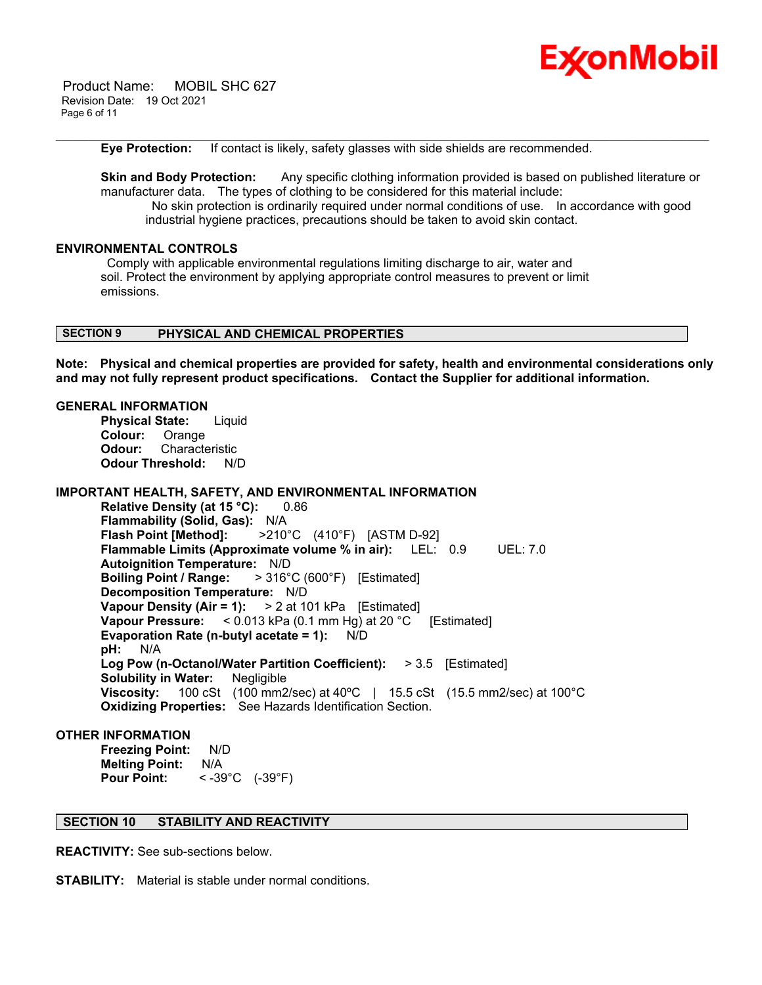

 Product Name: MOBIL SHC 627 Revision Date: 19 Oct 2021 Page 6 of 11

**Eye Protection:** If contact is likely, safety glasses with side shields are recommended.

**Skin and Body Protection:** Any specific clothing information provided is based on published literature or manufacturer data. The types of clothing to be considered for this material include: No skin protection is ordinarily required under normal conditions of use. In accordance with good industrial hygiene practices, precautions should be taken to avoid skin contact.

\_\_\_\_\_\_\_\_\_\_\_\_\_\_\_\_\_\_\_\_\_\_\_\_\_\_\_\_\_\_\_\_\_\_\_\_\_\_\_\_\_\_\_\_\_\_\_\_\_\_\_\_\_\_\_\_\_\_\_\_\_\_\_\_\_\_\_\_\_\_\_\_\_\_\_\_\_\_\_\_\_\_\_\_\_\_\_\_\_\_\_\_\_\_\_\_\_\_\_\_\_\_\_\_\_\_\_\_\_\_\_\_\_\_\_\_\_\_

# **ENVIRONMENTAL CONTROLS**

Comply with applicable environmental regulations limiting discharge to air, water and soil. Protect the environment by applying appropriate control measures to prevent or limit emissions.

# **SECTION 9 PHYSICAL AND CHEMICAL PROPERTIES**

**Note: Physical and chemical properties are provided for safety, health and environmental considerations only and may not fully represent product specifications. Contact the Supplier for additional information.**

# **GENERAL INFORMATION**

**Physical State:** Liquid **Colour:** Orange **Odour:** Characteristic **Odour Threshold:** N/D

# **IMPORTANT HEALTH, SAFETY, AND ENVIRONMENTAL INFORMATION**

**Relative Density (at 15 °C):** 0.86 **Flammability (Solid, Gas):** N/A **Flash Point [Method]:** >210°C (410°F) [ASTM D-92] **Flammable Limits (Approximate volume % in air):** LEL: 0.9 UEL: 7.0 **Autoignition Temperature:** N/D **Boiling Point / Range:** > 316°C (600°F) [Estimated] **Decomposition Temperature:** N/D **Vapour Density (Air = 1):** > 2 at 101 kPa [Estimated] **Vapour Pressure:** < 0.013 kPa (0.1 mm Hg) at 20 °C [Estimated] **Evaporation Rate (n-butyl acetate = 1):** N/D **pH:** N/A **Log Pow (n-Octanol/Water Partition Coefficient):** > 3.5 [Estimated] **Solubility in Water:** Negligible **Viscosity:** 100 cSt (100 mm2/sec) at 40ºC | 15.5 cSt (15.5 mm2/sec) at 100°C **Oxidizing Properties:** See Hazards Identification Section.

# **OTHER INFORMATION**

**Freezing Point:** N/D **Melting Point:** N/A **Pour Point:** < -39°C (-39°F)

# **SECTION 10 STABILITY AND REACTIVITY**

**REACTIVITY:** See sub-sections below.

**STABILITY:** Material is stable under normal conditions.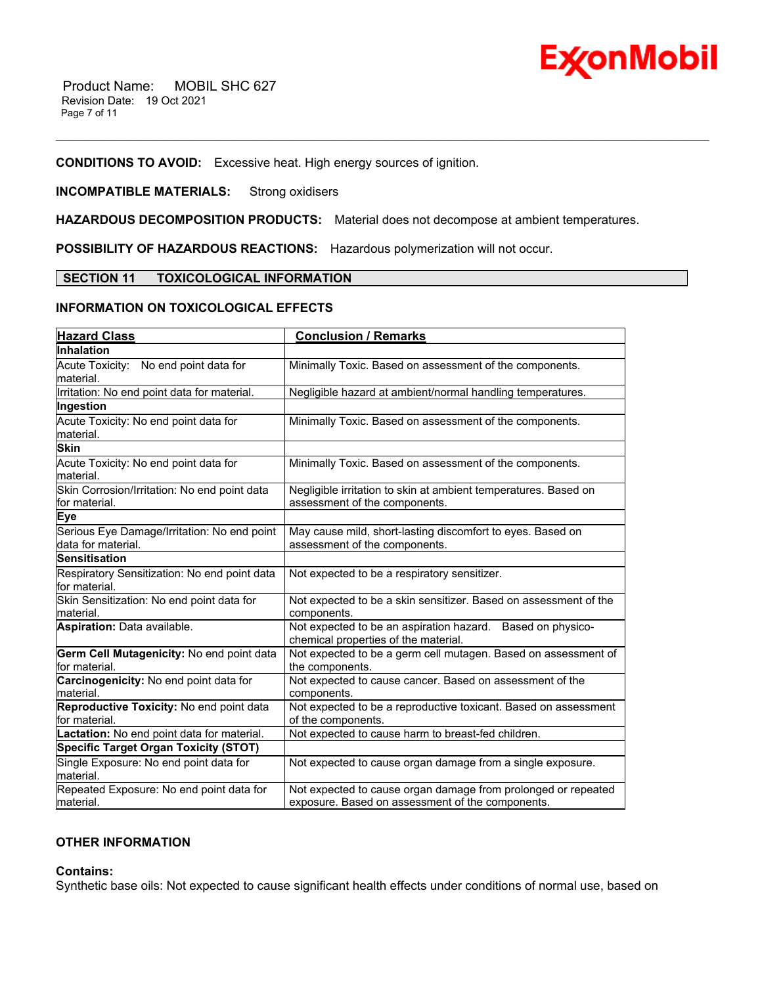

# **CONDITIONS TO AVOID:** Excessive heat. High energy sources of ignition.

# **INCOMPATIBLE MATERIALS:** Strong oxidisers

**HAZARDOUS DECOMPOSITION PRODUCTS:** Material does not decompose at ambient temperatures.

\_\_\_\_\_\_\_\_\_\_\_\_\_\_\_\_\_\_\_\_\_\_\_\_\_\_\_\_\_\_\_\_\_\_\_\_\_\_\_\_\_\_\_\_\_\_\_\_\_\_\_\_\_\_\_\_\_\_\_\_\_\_\_\_\_\_\_\_\_\_\_\_\_\_\_\_\_\_\_\_\_\_\_\_\_\_\_\_\_\_\_\_\_\_\_\_\_\_\_\_\_\_\_\_\_\_\_\_\_\_\_\_\_\_\_\_\_\_

**POSSIBILITY OF HAZARDOUS REACTIONS:** Hazardous polymerization will not occur.

#### **SECTION 11 TOXICOLOGICAL INFORMATION**

# **INFORMATION ON TOXICOLOGICAL EFFECTS**

| <b>Hazard Class</b>                                               | <b>Conclusion / Remarks</b>                                                                                       |
|-------------------------------------------------------------------|-------------------------------------------------------------------------------------------------------------------|
| Inhalation                                                        |                                                                                                                   |
| Acute Toxicity: No end point data for<br>material.                | Minimally Toxic. Based on assessment of the components.                                                           |
| Irritation: No end point data for material.                       | Negligible hazard at ambient/normal handling temperatures.                                                        |
| Ingestion                                                         |                                                                                                                   |
| Acute Toxicity: No end point data for<br>material.                | Minimally Toxic. Based on assessment of the components.                                                           |
| <b>Skin</b>                                                       |                                                                                                                   |
| Acute Toxicity: No end point data for<br>material.                | Minimally Toxic. Based on assessment of the components.                                                           |
| Skin Corrosion/Irritation: No end point data<br>for material.     | Negligible irritation to skin at ambient temperatures. Based on<br>assessment of the components.                  |
| <b>Eye</b>                                                        |                                                                                                                   |
| Serious Eye Damage/Irritation: No end point<br>data for material. | May cause mild, short-lasting discomfort to eyes. Based on<br>assessment of the components.                       |
| <b>Sensitisation</b>                                              |                                                                                                                   |
| Respiratory Sensitization: No end point data<br>for material.     | Not expected to be a respiratory sensitizer.                                                                      |
| Skin Sensitization: No end point data for<br>material.            | Not expected to be a skin sensitizer. Based on assessment of the<br>components.                                   |
| <b>Aspiration: Data available.</b>                                | Not expected to be an aspiration hazard. Based on physico-<br>chemical properties of the material.                |
| Germ Cell Mutagenicity: No end point data<br>for material.        | Not expected to be a germ cell mutagen. Based on assessment of<br>the components.                                 |
| Carcinogenicity: No end point data for<br>lmaterial.              | Not expected to cause cancer. Based on assessment of the<br>components.                                           |
| Reproductive Toxicity: No end point data<br>for material.         | Not expected to be a reproductive toxicant. Based on assessment<br>of the components.                             |
| Lactation: No end point data for material.                        | Not expected to cause harm to breast-fed children.                                                                |
| <b>Specific Target Organ Toxicity (STOT)</b>                      |                                                                                                                   |
| Single Exposure: No end point data for<br>material.               | Not expected to cause organ damage from a single exposure.                                                        |
| Repeated Exposure: No end point data for<br>lmaterial.            | Not expected to cause organ damage from prolonged or repeated<br>exposure. Based on assessment of the components. |
|                                                                   |                                                                                                                   |

# **OTHER INFORMATION**

# **Contains:**

Synthetic base oils: Not expected to cause significant health effects under conditions of normal use, based on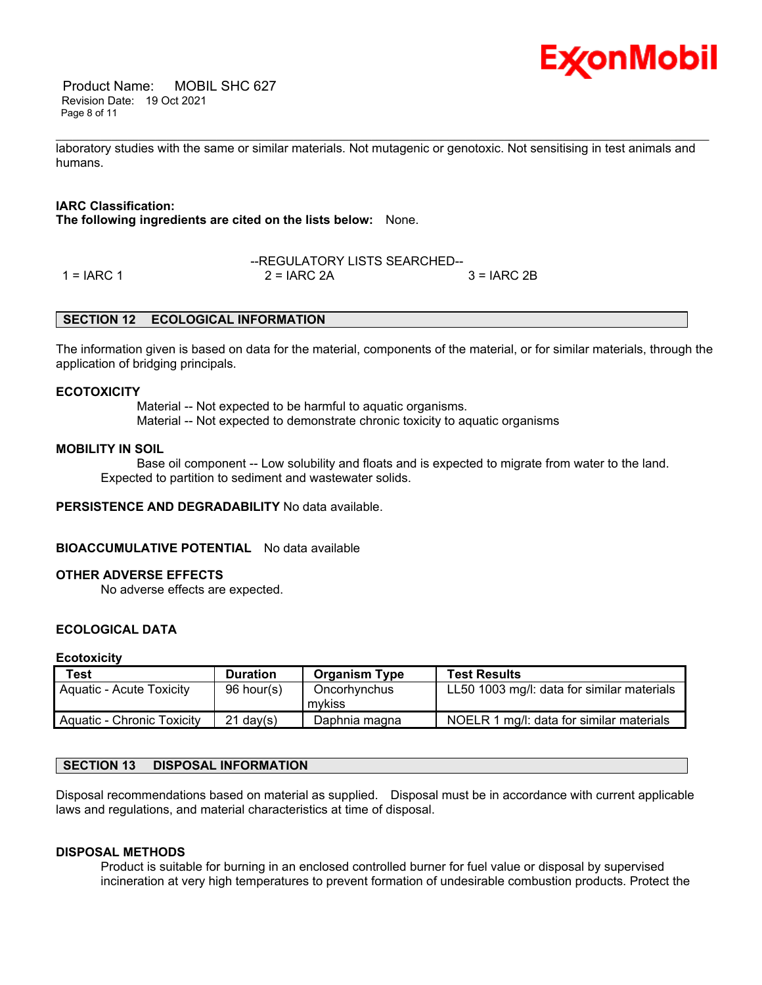

 Product Name: MOBIL SHC 627 Revision Date: 19 Oct 2021 Page 8 of 11

\_\_\_\_\_\_\_\_\_\_\_\_\_\_\_\_\_\_\_\_\_\_\_\_\_\_\_\_\_\_\_\_\_\_\_\_\_\_\_\_\_\_\_\_\_\_\_\_\_\_\_\_\_\_\_\_\_\_\_\_\_\_\_\_\_\_\_\_\_\_\_\_\_\_\_\_\_\_\_\_\_\_\_\_\_\_\_\_\_\_\_\_\_\_\_\_\_\_\_\_\_\_\_\_\_\_\_\_\_\_\_\_\_\_\_\_\_\_ laboratory studies with the same or similar materials. Not mutagenic or genotoxic. Not sensitising in test animals and humans.

# **IARC Classification:**

**The following ingredients are cited on the lists below:** None.

|              | --REGULATORY LISTS SEARCHED-- |              |
|--------------|-------------------------------|--------------|
| $1 = IARC 1$ | $2 = IARC 2A$                 | $3 = IARC2B$ |

#### **SECTION 12 ECOLOGICAL INFORMATION**

The information given is based on data for the material, components of the material, or for similar materials, through the application of bridging principals.

#### **ECOTOXICITY**

 Material -- Not expected to be harmful to aquatic organisms. Material -- Not expected to demonstrate chronic toxicity to aquatic organisms

#### **MOBILITY IN SOIL**

 Base oil component -- Low solubility and floats and is expected to migrate from water to the land. Expected to partition to sediment and wastewater solids.

#### **PERSISTENCE AND DEGRADABILITY** No data available.

#### **BIOACCUMULATIVE POTENTIAL** No data available

#### **OTHER ADVERSE EFFECTS**

No adverse effects are expected.

# **ECOLOGICAL DATA**

#### **Ecotoxicity**

| <b>Test</b>                     | <b>Duration</b> | <b>Organism Type</b>   | <b>Test Results</b>                        |
|---------------------------------|-----------------|------------------------|--------------------------------------------|
| <b>Aquatic - Acute Toxicity</b> | 96 hour(s)      | Oncorhynchus<br>mykiss | LL50 1003 mg/l: data for similar materials |
| Aquatic - Chronic Toxicity      | $21$ dav(s)     | Daphnia magna          | NOELR 1 mg/l: data for similar materials   |

# **SECTION 13 DISPOSAL INFORMATION**

Disposal recommendations based on material as supplied. Disposal must be in accordance with current applicable laws and regulations, and material characteristics at time of disposal.

#### **DISPOSAL METHODS**

Product is suitable for burning in an enclosed controlled burner for fuel value or disposal by supervised incineration at very high temperatures to prevent formation of undesirable combustion products. Protect the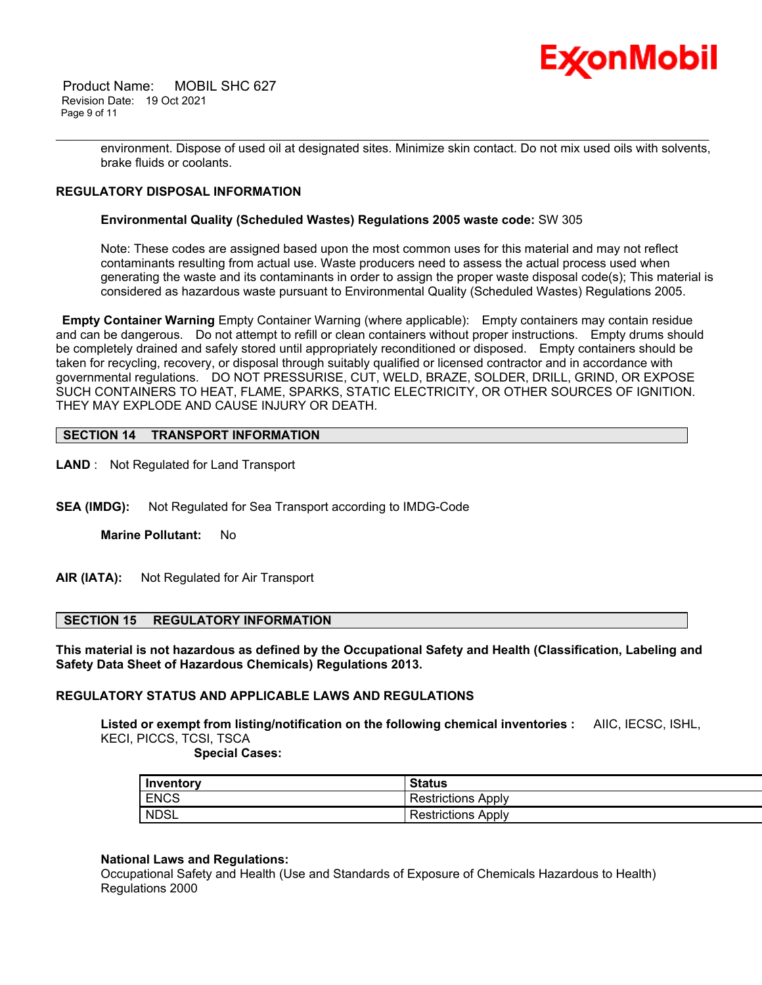

 Product Name: MOBIL SHC 627 Revision Date: 19 Oct 2021 Page 9 of 11

> environment. Dispose of used oil at designated sites. Minimize skin contact. Do not mix used oils with solvents, brake fluids or coolants.

\_\_\_\_\_\_\_\_\_\_\_\_\_\_\_\_\_\_\_\_\_\_\_\_\_\_\_\_\_\_\_\_\_\_\_\_\_\_\_\_\_\_\_\_\_\_\_\_\_\_\_\_\_\_\_\_\_\_\_\_\_\_\_\_\_\_\_\_\_\_\_\_\_\_\_\_\_\_\_\_\_\_\_\_\_\_\_\_\_\_\_\_\_\_\_\_\_\_\_\_\_\_\_\_\_\_\_\_\_\_\_\_\_\_\_\_\_\_

# **REGULATORY DISPOSAL INFORMATION**

#### **Environmental Quality (Scheduled Wastes) Regulations 2005 waste code:** SW 305

Note: These codes are assigned based upon the most common uses for this material and may not reflect contaminants resulting from actual use. Waste producers need to assess the actual process used when generating the waste and its contaminants in order to assign the proper waste disposal code(s); This material is considered as hazardous waste pursuant to Environmental Quality (Scheduled Wastes) Regulations 2005.

**Empty Container Warning** Empty Container Warning (where applicable): Empty containers may contain residue and can be dangerous. Do not attempt to refill or clean containers without proper instructions. Empty drums should be completely drained and safely stored until appropriately reconditioned or disposed. Empty containers should be taken for recycling, recovery, or disposal through suitably qualified or licensed contractor and in accordance with governmental regulations. DO NOT PRESSURISE, CUT, WELD, BRAZE, SOLDER, DRILL, GRIND, OR EXPOSE SUCH CONTAINERS TO HEAT, FLAME, SPARKS, STATIC ELECTRICITY, OR OTHER SOURCES OF IGNITION. THEY MAY EXPLODE AND CAUSE INJURY OR DEATH.

# **SECTION 14 TRANSPORT INFORMATION**

**LAND** : Not Regulated for Land Transport

**SEA (IMDG):** Not Regulated for Sea Transport according to IMDG-Code

**Marine Pollutant:** No

**AIR (IATA):** Not Regulated for Air Transport

#### **SECTION 15 REGULATORY INFORMATION**

**This material is not hazardous as defined by the Occupational Safety and Health (Classification, Labeling and Safety Data Sheet of Hazardous Chemicals) Regulations 2013.**

#### **REGULATORY STATUS AND APPLICABLE LAWS AND REGULATIONS**

**Listed or exempt from listing/notification on the following chemical inventories :** AIIC, IECSC, ISHL, KECI, PICCS, TCSI, TSCA

 **Special Cases:**

| Inventory   | <b>Status</b>         |
|-------------|-----------------------|
| <b>ENCS</b> | Restrictions<br>Apply |
| <b>NDSL</b> | Restrictions<br>Apply |

#### **National Laws and Regulations:**

Occupational Safety and Health (Use and Standards of Exposure of Chemicals Hazardous to Health) Regulations 2000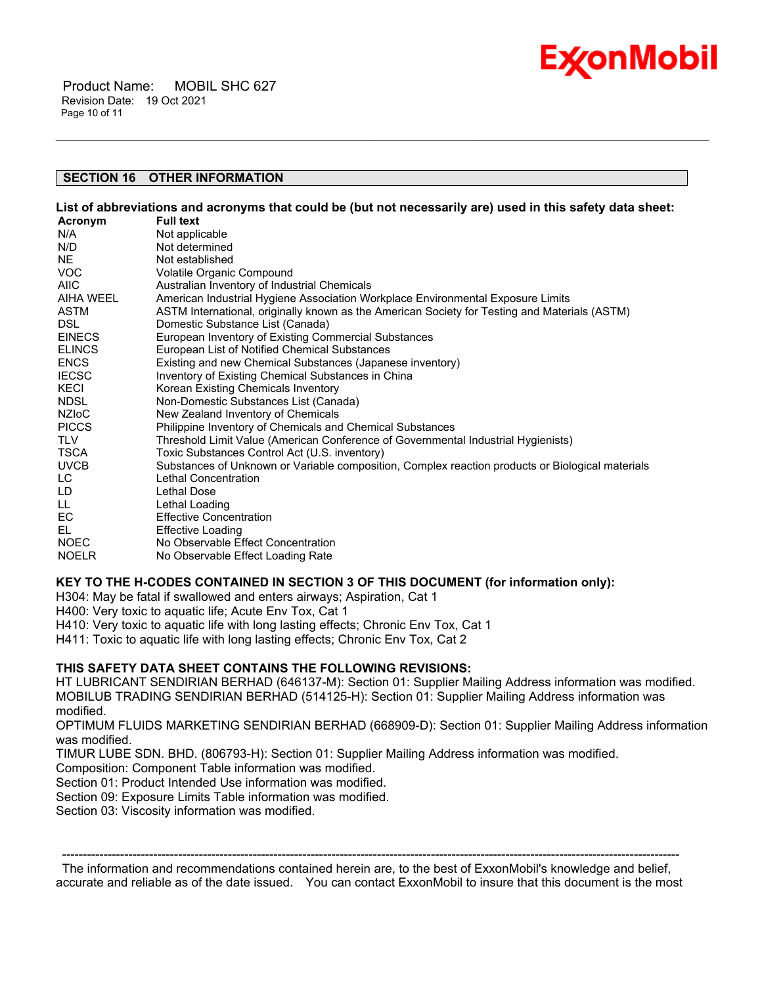

 Product Name: MOBIL SHC 627 Revision Date: 19 Oct 2021 Page 10 of 11

# **SECTION 16 OTHER INFORMATION**

List of abbreviations and acronyms that could be (but not necessarily are) used in this safety data sheet:

\_\_\_\_\_\_\_\_\_\_\_\_\_\_\_\_\_\_\_\_\_\_\_\_\_\_\_\_\_\_\_\_\_\_\_\_\_\_\_\_\_\_\_\_\_\_\_\_\_\_\_\_\_\_\_\_\_\_\_\_\_\_\_\_\_\_\_\_\_\_\_\_\_\_\_\_\_\_\_\_\_\_\_\_\_\_\_\_\_\_\_\_\_\_\_\_\_\_\_\_\_\_\_\_\_\_\_\_\_\_\_\_\_\_\_\_\_\_

| Acronym       | <b>Full text</b>                                                                                 |
|---------------|--------------------------------------------------------------------------------------------------|
| N/A           | Not applicable                                                                                   |
| N/D           | Not determined                                                                                   |
| NE.           | Not established                                                                                  |
| VOC.          | Volatile Organic Compound                                                                        |
| <b>AIIC</b>   | Australian Inventory of Industrial Chemicals                                                     |
| AIHA WEEL     | American Industrial Hygiene Association Workplace Environmental Exposure Limits                  |
| ASTM          | ASTM International, originally known as the American Society for Testing and Materials (ASTM)    |
| DSL.          | Domestic Substance List (Canada)                                                                 |
| <b>EINECS</b> | European Inventory of Existing Commercial Substances                                             |
| <b>ELINCS</b> | European List of Notified Chemical Substances                                                    |
| <b>ENCS</b>   | Existing and new Chemical Substances (Japanese inventory)                                        |
| <b>IECSC</b>  | Inventory of Existing Chemical Substances in China                                               |
| KECI          | Korean Existing Chemicals Inventory                                                              |
| NDSL          | Non-Domestic Substances List (Canada)                                                            |
| <b>NZIOC</b>  | New Zealand Inventory of Chemicals                                                               |
| <b>PICCS</b>  | Philippine Inventory of Chemicals and Chemical Substances                                        |
| <b>TLV</b>    | Threshold Limit Value (American Conference of Governmental Industrial Hygienists)                |
| TSCA          | Toxic Substances Control Act (U.S. inventory)                                                    |
| <b>UVCB</b>   | Substances of Unknown or Variable composition, Complex reaction products or Biological materials |
| LC.           | Lethal Concentration                                                                             |
| LD            | <b>Lethal Dose</b>                                                                               |
| LL.           | Lethal Loading                                                                                   |
| EC            | <b>Effective Concentration</b>                                                                   |
| EL            | <b>Effective Loading</b>                                                                         |
| <b>NOEC</b>   | No Observable Effect Concentration                                                               |
| <b>NOELR</b>  | No Observable Effect Loading Rate                                                                |

# **KEY TO THE H-CODES CONTAINED IN SECTION 3 OF THIS DOCUMENT (for information only):**

H304: May be fatal if swallowed and enters airways; Aspiration, Cat 1

H400: Very toxic to aquatic life; Acute Env Tox, Cat 1

H410: Very toxic to aquatic life with long lasting effects; Chronic Env Tox, Cat 1

H411: Toxic to aquatic life with long lasting effects; Chronic Env Tox, Cat 2

# **THIS SAFETY DATA SHEET CONTAINS THE FOLLOWING REVISIONS:**

HT LUBRICANT SENDIRIAN BERHAD (646137-M): Section 01: Supplier Mailing Address information was modified. MOBILUB TRADING SENDIRIAN BERHAD (514125-H): Section 01: Supplier Mailing Address information was modified.

OPTIMUM FLUIDS MARKETING SENDIRIAN BERHAD (668909-D): Section 01: Supplier Mailing Address information was modified.

TIMUR LUBE SDN. BHD. (806793-H): Section 01: Supplier Mailing Address information was modified.

Composition: Component Table information was modified.

Section 01: Product Intended Use information was modified.

Section 09: Exposure Limits Table information was modified.

Section 03: Viscosity information was modified.

----------------------------------------------------------------------------------------------------------------------------------------------------- The information and recommendations contained herein are, to the best of ExxonMobil's knowledge and belief, accurate and reliable as of the date issued. You can contact ExxonMobil to insure that this document is the most